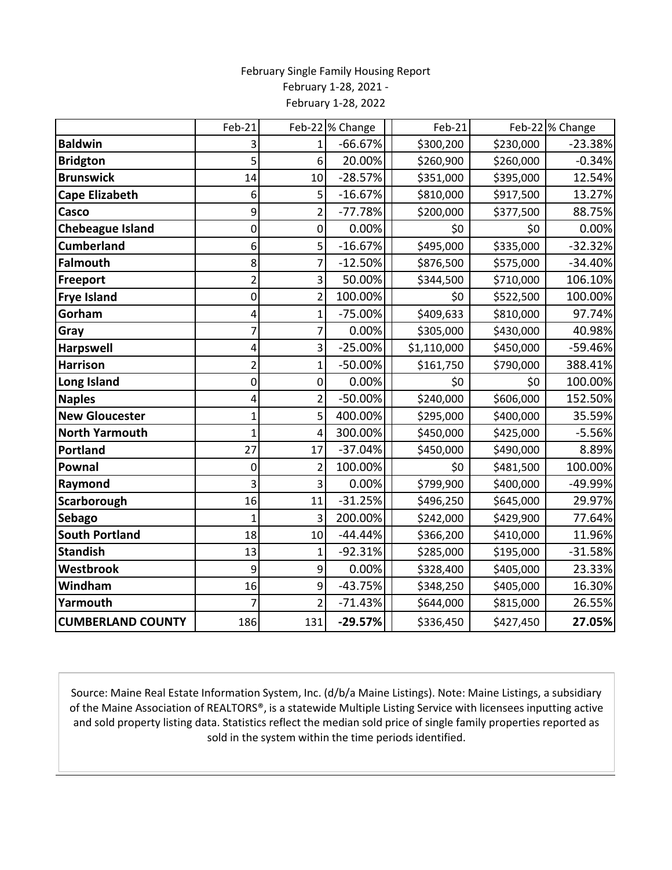## February Single Family Housing Report February 1-28, 2021 - February 1-28, 2022

|                          | Feb-21         |                | Feb-22 % Change | Feb-21      |           | Feb-22 % Change |
|--------------------------|----------------|----------------|-----------------|-------------|-----------|-----------------|
| <b>Baldwin</b>           | 3              | 1              | $-66.67%$       | \$300,200   | \$230,000 | $-23.38%$       |
| <b>Bridgton</b>          | 5              | 6              | 20.00%          | \$260,900   | \$260,000 | $-0.34%$        |
| <b>Brunswick</b>         | 14             | 10             | $-28.57%$       | \$351,000   | \$395,000 | 12.54%          |
| <b>Cape Elizabeth</b>    | 6              | 5              | $-16.67%$       | \$810,000   | \$917,500 | 13.27%          |
| Casco                    | 9              | $\overline{2}$ | $-77.78%$       | \$200,000   | \$377,500 | 88.75%          |
| <b>Chebeague Island</b>  | $\pmb{0}$      | 0              | 0.00%           | \$0         | \$0       | 0.00%           |
| <b>Cumberland</b>        | 6              | 5              | $-16.67%$       | \$495,000   | \$335,000 | $-32.32%$       |
| <b>Falmouth</b>          | 8              | 7              | $-12.50%$       | \$876,500   | \$575,000 | $-34.40%$       |
| <b>Freeport</b>          | $\overline{2}$ | 3              | 50.00%          | \$344,500   | \$710,000 | 106.10%         |
| <b>Frye Island</b>       | 0              | $\overline{2}$ | 100.00%         | \$0         | \$522,500 | 100.00%         |
| Gorham                   | 4              | 1              | $-75.00%$       | \$409,633   | \$810,000 | 97.74%          |
| Gray                     | 7              | 7              | 0.00%           | \$305,000   | \$430,000 | 40.98%          |
| <b>Harpswell</b>         | 4              | 3              | $-25.00%$       | \$1,110,000 | \$450,000 | -59.46%         |
| <b>Harrison</b>          | $\overline{c}$ | 1              | $-50.00%$       | \$161,750   | \$790,000 | 388.41%         |
| Long Island              | 0              | 0              | 0.00%           | \$0         | \$0       | 100.00%         |
| <b>Naples</b>            | 4              | $\overline{2}$ | $-50.00%$       | \$240,000   | \$606,000 | 152.50%         |
| <b>New Gloucester</b>    | $\mathbf{1}$   | 5              | 400.00%         | \$295,000   | \$400,000 | 35.59%          |
| <b>North Yarmouth</b>    | $\mathbf{1}$   | 4              | 300.00%         | \$450,000   | \$425,000 | $-5.56%$        |
| <b>Portland</b>          | 27             | 17             | $-37.04%$       | \$450,000   | \$490,000 | 8.89%           |
| Pownal                   | 0              | $\overline{2}$ | 100.00%         | \$0         | \$481,500 | 100.00%         |
| Raymond                  | 3              | 3              | 0.00%           | \$799,900   | \$400,000 | -49.99%         |
| Scarborough              | 16             | 11             | $-31.25%$       | \$496,250   | \$645,000 | 29.97%          |
| Sebago                   | 1              | 3              | 200.00%         | \$242,000   | \$429,900 | 77.64%          |
| <b>South Portland</b>    | 18             | 10             | $-44.44%$       | \$366,200   | \$410,000 | 11.96%          |
| <b>Standish</b>          | 13             | 1              | $-92.31%$       | \$285,000   | \$195,000 | $-31.58%$       |
| Westbrook                | 9              | 9              | 0.00%           | \$328,400   | \$405,000 | 23.33%          |
| Windham                  | 16             | 9              | $-43.75%$       | \$348,250   | \$405,000 | 16.30%          |
| Yarmouth                 | 7              | $\overline{2}$ | $-71.43%$       | \$644,000   | \$815,000 | 26.55%          |
| <b>CUMBERLAND COUNTY</b> | 186            | 131            | $-29.57%$       | \$336,450   | \$427,450 | 27.05%          |

Source: Maine Real Estate Information System, Inc. (d/b/a Maine Listings). Note: Maine Listings, a subsidiary of the Maine Association of REALTORS®, is a statewide Multiple Listing Service with licensees inputting active and sold property listing data. Statistics reflect the median sold price of single family properties reported as sold in the system within the time periods identified.